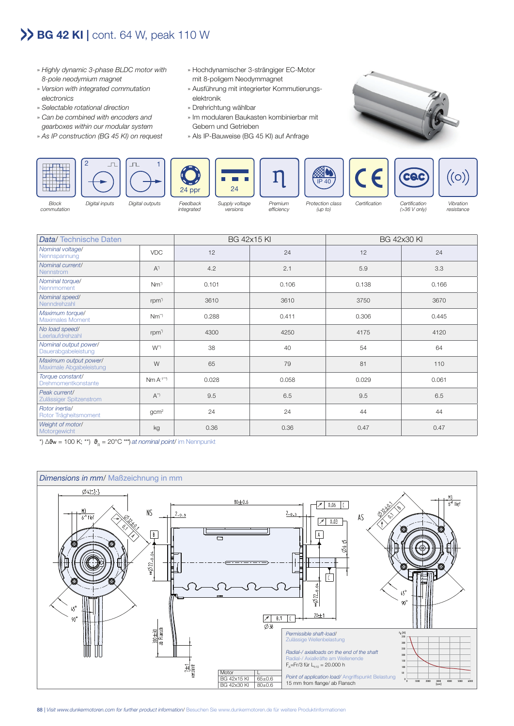## **>> BG 42 KI |** cont. 64 W, peak 110 W

- » Highly dynamic 3-phase BLDC motor with 8-pole neodymium magnet
- » Version with integrated commutation electronics
- » Selectable rotational direction
- » Can be combined with encoders and gearboxes within our modular system
- » As IP construction (BG 45 KI) on request
- » Hochdynamischer 3-strängiger EC-Motor mit 8-poligem Neodymmagnet
- » Ausführung mit integrierter Kommutierungs elektronik
- » Drehrichtung wählbar
- » Im modularen Baukasten kombinierbar mit Gebern und Getrieben
- » Als IP-Bauweise (BG 45 KI) auf Anfrage





commutation

integrated

versions

efficiency

(up to)

(>36 V only)

resistance

| Data/Technische Daten                            |                    | <b>BG 42x15 KI</b> |       | <b>BG 42x30 KI</b> |       |
|--------------------------------------------------|--------------------|--------------------|-------|--------------------|-------|
| Nominal voltage/<br>Nennspannung                 | <b>VDC</b>         | 12                 | 24    | 12                 | 24    |
| Nominal current/<br>Nennstrom                    | $A^{\prime}$       | 4.2                | 2.1   | 5.9                | 3.3   |
| Nominal torque/<br>Nennmoment                    | $Nm^{\gamma}$      | 0.101              | 0.106 | 0.138              | 0.166 |
| Nominal speed/<br>Nenndrehzahl                   | rpm <sup>1</sup>   | 3610               | 3610  | 3750               | 3670  |
| Maximum torque/<br><b>Maximales Moment</b>       | $Nm^{\gamma}$      | 0.288              | 0.411 | 0.306              | 0.445 |
| No load speed/<br>Leerlaufdrehzahl               | rpm <sup>1</sup>   | 4300               | 4250  | 4175               | 4120  |
| Nominal output power/<br>Dauerabgabeleistung     | $W^{\gamma}$       | 38                 | 40    | 54                 | 64    |
| Maximum output power/<br>Maximale Abgabeleistung | W                  | 65                 | 79    | 81                 | 110   |
| Torque constant/<br>Drehmomentkonstante          | $Nm A^{-1^{**}}$   | 0.028              | 0.058 | 0.029              | 0.061 |
| Peak current/<br>Zulässiger Spitzenstrom         | $A^{\prime\prime}$ | 9.5                | 6.5   | 9.5                | 6.5   |
| Rotor inertial<br>Rotor Trägheitsmoment          | gcm <sup>2</sup>   | 24                 | 24    | 44                 | 44    |
| Weight of motor/<br>Motorgewicht                 | kg                 | 0.36               | 0.36  | 0.47               | 0.47  |

\*)  $\Delta\vartheta_{\rm w}$  = 100 K; \*\*)  $\vartheta_{\rm R}$  = 20°C \*\*\*) at nominal point/ im Nennpunkt